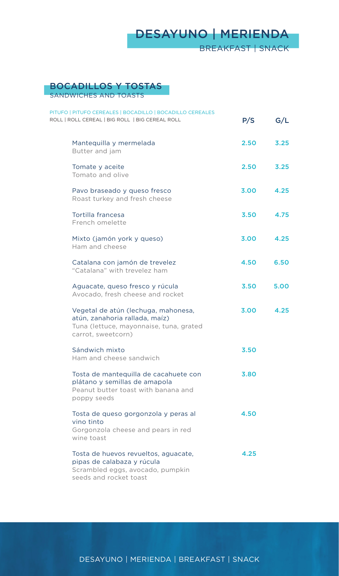## BOCADILLOS Y TOSTAS

SANDWICHES AND TOASTS

| PITUFO   PITUFO CEREALES   BOCADILLO   BOCADILLO CEREALES<br>ROLL   ROLL CEREAL   BIG ROLL   BIG CEREAL ROLL                           | P/S  | G/L  |
|----------------------------------------------------------------------------------------------------------------------------------------|------|------|
| Mantequilla y mermelada<br>Butter and jam                                                                                              | 2.50 | 3.25 |
| Tomate y aceite<br>Tomato and olive                                                                                                    | 2.50 | 3.25 |
| Pavo braseado y queso fresco<br>Roast turkey and fresh cheese                                                                          | 3.00 | 4.25 |
| Tortilla francesa<br>French omelette                                                                                                   | 3.50 | 4.75 |
| Mixto (jamón york y queso)<br>Ham and cheese                                                                                           | 3.00 | 4.25 |
| Catalana con jamón de trevelez<br>"Catalana" with trevelez ham                                                                         | 4.50 | 6.50 |
| Aguacate, queso fresco y rúcula<br>Avocado, fresh cheese and rocket                                                                    | 3.50 | 5.00 |
| Vegetal de atún (lechuga, mahonesa,<br>atún, zanahoria rallada, maíz)<br>Tuna (lettuce, mayonnaise, tuna, grated<br>carrot, sweetcorn) | 3.00 | 4.25 |
| Sándwich mixto<br>Ham and cheese sandwich                                                                                              | 3.50 |      |
| Tosta de mantequilla de cacahuete con<br>plátano y semillas de amapola<br>Peanut butter toast with banana and<br>poppy seeds           | 3.80 |      |
| Tosta de queso gorgonzola y peras al<br>vino tinto<br>Gorgonzola cheese and pears in red<br>wine toast                                 | 4.50 |      |
| Tosta de huevos revueltos, aguacate,<br>pipas de calabaza y rúcula<br>Scrambled eggs, avocado, pumpkin<br>seeds and rocket toast       | 4.25 |      |

DESAYUNO | MERIENDA | BREAKFAST | SNACK